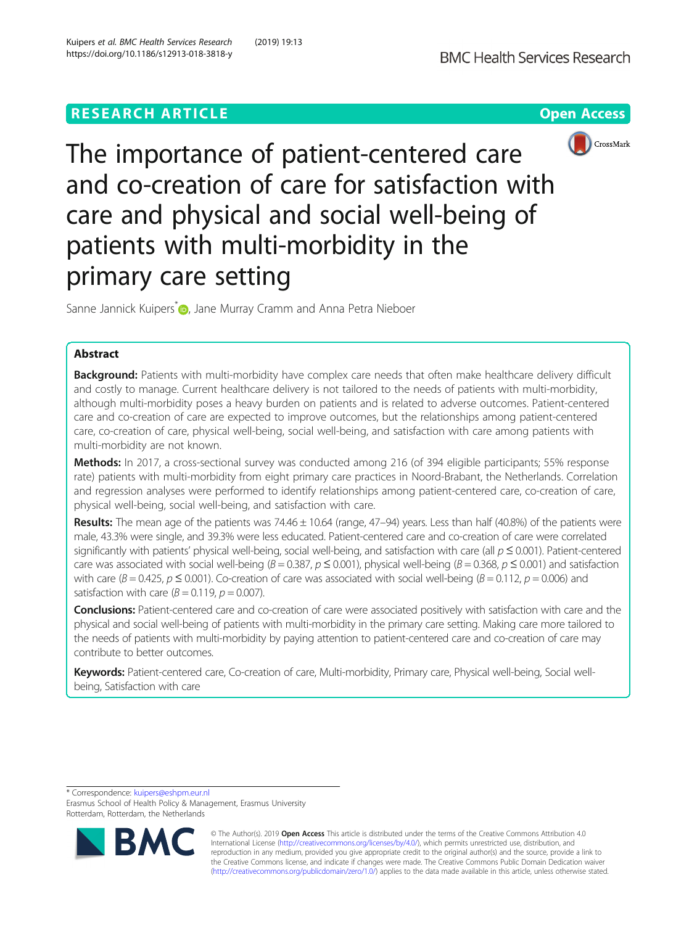# **RESEARCH ARTICLE Example 2018 12:30 The Contract of Contract Access**



The importance of patient-centered care and co-creation of care for satisfaction with care and physical and social well-being of patients with multi-morbidity in the primary care setting

Sanne Jannick Kuipers<sup>[\\*](http://orcid.org/0000-0003-4659-6244)</sup> <sub>D</sub>, Jane Murray Cramm and Anna Petra Nieboer

# Abstract

Background: Patients with multi-morbidity have complex care needs that often make healthcare delivery difficult and costly to manage. Current healthcare delivery is not tailored to the needs of patients with multi-morbidity, although multi-morbidity poses a heavy burden on patients and is related to adverse outcomes. Patient-centered care and co-creation of care are expected to improve outcomes, but the relationships among patient-centered care, co-creation of care, physical well-being, social well-being, and satisfaction with care among patients with multi-morbidity are not known.

Methods: In 2017, a cross-sectional survey was conducted among 216 (of 394 eligible participants; 55% response rate) patients with multi-morbidity from eight primary care practices in Noord-Brabant, the Netherlands. Correlation and regression analyses were performed to identify relationships among patient-centered care, co-creation of care, physical well-being, social well-being, and satisfaction with care.

Results: The mean age of the patients was  $74.46 \pm 10.64$  (range,  $47-94$ ) years. Less than half (40.8%) of the patients were male, 43.3% were single, and 39.3% were less educated. Patient-centered care and co-creation of care were correlated significantly with patients' physical well-being, social well-being, and satisfaction with care (all  $p \le 0.001$ ). Patient-centered care was associated with social well-being ( $B = 0.387$ ,  $p \le 0.001$ ), physical well-being ( $B = 0.368$ ,  $p \le 0.001$ ) and satisfaction with care ( $B = 0.425$ ,  $p \le 0.001$ ). Co-creation of care was associated with social well-being ( $B = 0.112$ ,  $p = 0.006$ ) and satisfaction with care  $(B = 0.119, p = 0.007)$ .

Conclusions: Patient-centered care and co-creation of care were associated positively with satisfaction with care and the physical and social well-being of patients with multi-morbidity in the primary care setting. Making care more tailored to the needs of patients with multi-morbidity by paying attention to patient-centered care and co-creation of care may contribute to better outcomes.

Keywords: Patient-centered care, Co-creation of care, Multi-morbidity, Primary care, Physical well-being, Social wellbeing, Satisfaction with care

\* Correspondence: [kuipers@eshpm.eur.nl](mailto:kuipers@eshpm.eur.nl)

Erasmus School of Health Policy & Management, Erasmus University Rotterdam, Rotterdam, the Netherlands



© The Author(s). 2019 **Open Access** This article is distributed under the terms of the Creative Commons Attribution 4.0 International License [\(http://creativecommons.org/licenses/by/4.0/](http://creativecommons.org/licenses/by/4.0/)), which permits unrestricted use, distribution, and reproduction in any medium, provided you give appropriate credit to the original author(s) and the source, provide a link to the Creative Commons license, and indicate if changes were made. The Creative Commons Public Domain Dedication waiver [\(http://creativecommons.org/publicdomain/zero/1.0/](http://creativecommons.org/publicdomain/zero/1.0/)) applies to the data made available in this article, unless otherwise stated.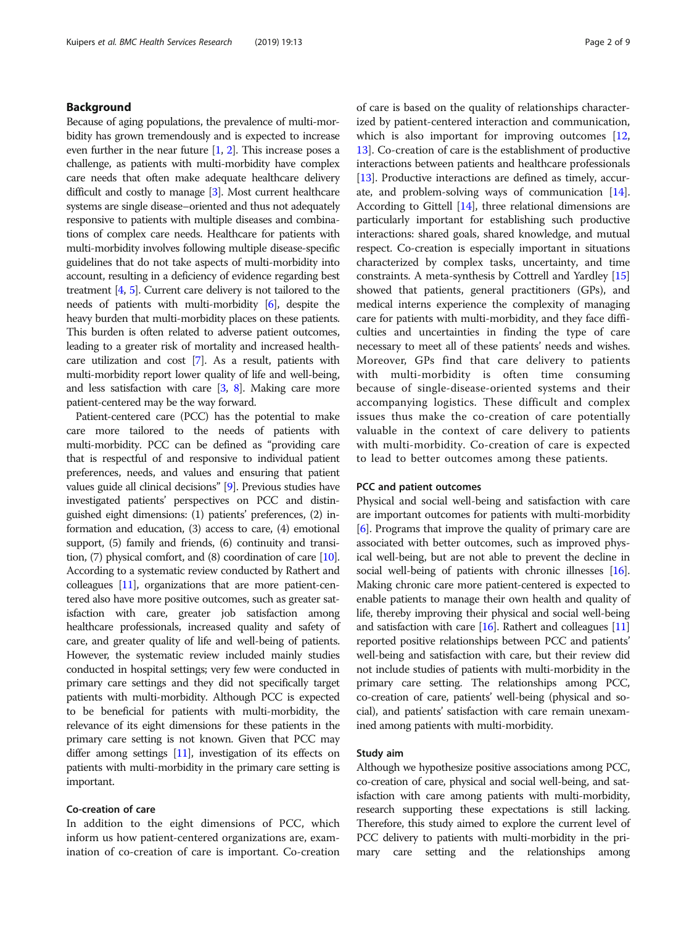# Background

Because of aging populations, the prevalence of multi-morbidity has grown tremendously and is expected to increase even further in the near future  $[1, 2]$  $[1, 2]$  $[1, 2]$ . This increase poses a challenge, as patients with multi-morbidity have complex care needs that often make adequate healthcare delivery difficult and costly to manage [\[3](#page-7-0)]. Most current healthcare systems are single disease–oriented and thus not adequately responsive to patients with multiple diseases and combinations of complex care needs. Healthcare for patients with multi-morbidity involves following multiple disease-specific guidelines that do not take aspects of multi-morbidity into account, resulting in a deficiency of evidence regarding best treatment [\[4,](#page-7-0) [5](#page-7-0)]. Current care delivery is not tailored to the needs of patients with multi-morbidity [\[6\]](#page-7-0), despite the heavy burden that multi-morbidity places on these patients. This burden is often related to adverse patient outcomes, leading to a greater risk of mortality and increased healthcare utilization and cost [\[7\]](#page-7-0). As a result, patients with multi-morbidity report lower quality of life and well-being, and less satisfaction with care [\[3](#page-7-0), [8](#page-7-0)]. Making care more patient-centered may be the way forward.

Patient-centered care (PCC) has the potential to make care more tailored to the needs of patients with multi-morbidity. PCC can be defined as "providing care that is respectful of and responsive to individual patient preferences, needs, and values and ensuring that patient values guide all clinical decisions" [\[9\]](#page-7-0). Previous studies have investigated patients' perspectives on PCC and distinguished eight dimensions: (1) patients' preferences, (2) information and education, (3) access to care, (4) emotional support, (5) family and friends, (6) continuity and transition, (7) physical comfort, and (8) coordination of care [\[10](#page-7-0)]. According to a systematic review conducted by Rathert and colleagues [\[11\]](#page-7-0), organizations that are more patient-centered also have more positive outcomes, such as greater satisfaction with care, greater job satisfaction among healthcare professionals, increased quality and safety of care, and greater quality of life and well-being of patients. However, the systematic review included mainly studies conducted in hospital settings; very few were conducted in primary care settings and they did not specifically target patients with multi-morbidity. Although PCC is expected to be beneficial for patients with multi-morbidity, the relevance of its eight dimensions for these patients in the primary care setting is not known. Given that PCC may differ among settings [\[11](#page-7-0)], investigation of its effects on patients with multi-morbidity in the primary care setting is important.

# Co-creation of care

In addition to the eight dimensions of PCC, which inform us how patient-centered organizations are, examination of co-creation of care is important. Co-creation of care is based on the quality of relationships characterized by patient-centered interaction and communication, which is also important for improving outcomes [[12](#page-7-0), [13\]](#page-7-0). Co-creation of care is the establishment of productive interactions between patients and healthcare professionals [[13](#page-7-0)]. Productive interactions are defined as timely, accurate, and problem-solving ways of communication [[14](#page-7-0)]. According to Gittell [\[14](#page-7-0)], three relational dimensions are particularly important for establishing such productive interactions: shared goals, shared knowledge, and mutual respect. Co-creation is especially important in situations characterized by complex tasks, uncertainty, and time constraints. A meta-synthesis by Cottrell and Yardley [[15](#page-7-0)] showed that patients, general practitioners (GPs), and medical interns experience the complexity of managing care for patients with multi-morbidity, and they face difficulties and uncertainties in finding the type of care necessary to meet all of these patients' needs and wishes. Moreover, GPs find that care delivery to patients with multi-morbidity is often time consuming because of single-disease-oriented systems and their accompanying logistics. These difficult and complex issues thus make the co-creation of care potentially valuable in the context of care delivery to patients with multi-morbidity. Co-creation of care is expected to lead to better outcomes among these patients.

### PCC and patient outcomes

Physical and social well-being and satisfaction with care are important outcomes for patients with multi-morbidity [[6\]](#page-7-0). Programs that improve the quality of primary care are associated with better outcomes, such as improved physical well-being, but are not able to prevent the decline in social well-being of patients with chronic illnesses [\[16](#page-7-0)]. Making chronic care more patient-centered is expected to enable patients to manage their own health and quality of life, thereby improving their physical and social well-being and satisfaction with care  $[16]$ . Rathert and colleagues  $[11]$  $[11]$ reported positive relationships between PCC and patients' well-being and satisfaction with care, but their review did not include studies of patients with multi-morbidity in the primary care setting. The relationships among PCC, co-creation of care, patients' well-being (physical and social), and patients' satisfaction with care remain unexamined among patients with multi-morbidity.

### Study aim

Although we hypothesize positive associations among PCC, co-creation of care, physical and social well-being, and satisfaction with care among patients with multi-morbidity, research supporting these expectations is still lacking. Therefore, this study aimed to explore the current level of PCC delivery to patients with multi-morbidity in the primary care setting and the relationships among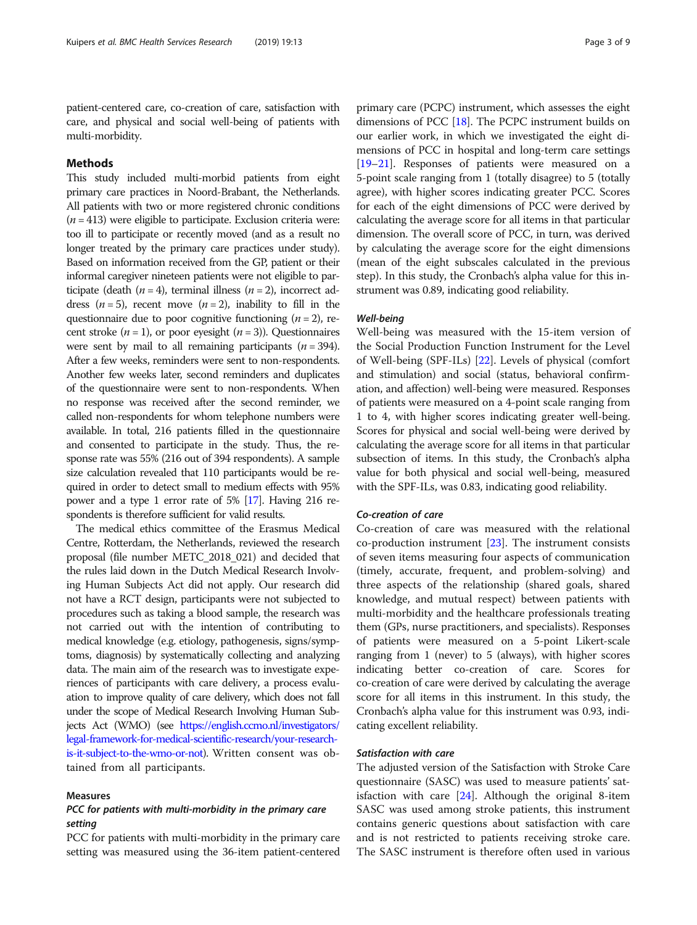patient-centered care, co-creation of care, satisfaction with care, and physical and social well-being of patients with multi-morbidity.

# Methods

This study included multi-morbid patients from eight primary care practices in Noord-Brabant, the Netherlands. All patients with two or more registered chronic conditions  $(n = 413)$  were eligible to participate. Exclusion criteria were: too ill to participate or recently moved (and as a result no longer treated by the primary care practices under study). Based on information received from the GP, patient or their informal caregiver nineteen patients were not eligible to participate (death  $(n = 4)$ , terminal illness  $(n = 2)$ , incorrect address  $(n = 5)$ , recent move  $(n = 2)$ , inability to fill in the questionnaire due to poor cognitive functioning  $(n = 2)$ , recent stroke  $(n = 1)$ , or poor eyesight  $(n = 3)$ ). Questionnaires were sent by mail to all remaining participants ( $n = 394$ ). After a few weeks, reminders were sent to non-respondents. Another few weeks later, second reminders and duplicates of the questionnaire were sent to non-respondents. When no response was received after the second reminder, we called non-respondents for whom telephone numbers were available. In total, 216 patients filled in the questionnaire and consented to participate in the study. Thus, the response rate was 55% (216 out of 394 respondents). A sample size calculation revealed that 110 participants would be required in order to detect small to medium effects with 95% power and a type 1 error rate of 5% [[17\]](#page-7-0). Having 216 respondents is therefore sufficient for valid results.

The medical ethics committee of the Erasmus Medical Centre, Rotterdam, the Netherlands, reviewed the research proposal (file number METC\_2018\_021) and decided that the rules laid down in the Dutch Medical Research Involving Human Subjects Act did not apply. Our research did not have a RCT design, participants were not subjected to procedures such as taking a blood sample, the research was not carried out with the intention of contributing to medical knowledge (e.g. etiology, pathogenesis, signs/symptoms, diagnosis) by systematically collecting and analyzing data. The main aim of the research was to investigate experiences of participants with care delivery, a process evaluation to improve quality of care delivery, which does not fall under the scope of Medical Research Involving Human Subjects Act (WMO) (see [https://english.ccmo.nl/investigators/](https://english.ccmo.nl/investigators/legal-framework-for-medical-scientific-research/your-research-is-it-subject-to-the-wmo-or-not) [legal-framework-for-medical-scientific-research/your-research](https://english.ccmo.nl/investigators/legal-framework-for-medical-scientific-research/your-research-is-it-subject-to-the-wmo-or-not)[is-it-subject-to-the-wmo-or-not](https://english.ccmo.nl/investigators/legal-framework-for-medical-scientific-research/your-research-is-it-subject-to-the-wmo-or-not)). Written consent was obtained from all participants.

# Measures

# PCC for patients with multi-morbidity in the primary care setting

PCC for patients with multi-morbidity in the primary care setting was measured using the 36-item patient-centered primary care (PCPC) instrument, which assesses the eight dimensions of PCC [\[18\]](#page-7-0). The PCPC instrument builds on our earlier work, in which we investigated the eight dimensions of PCC in hospital and long-term care settings [[19](#page-7-0)–[21\]](#page-7-0). Responses of patients were measured on a 5-point scale ranging from 1 (totally disagree) to 5 (totally agree), with higher scores indicating greater PCC. Scores for each of the eight dimensions of PCC were derived by calculating the average score for all items in that particular dimension. The overall score of PCC, in turn, was derived by calculating the average score for the eight dimensions (mean of the eight subscales calculated in the previous step). In this study, the Cronbach's alpha value for this instrument was 0.89, indicating good reliability.

# Well-being

Well-being was measured with the 15-item version of the Social Production Function Instrument for the Level of Well-being (SPF-ILs) [\[22\]](#page-7-0). Levels of physical (comfort and stimulation) and social (status, behavioral confirmation, and affection) well-being were measured. Responses of patients were measured on a 4-point scale ranging from 1 to 4, with higher scores indicating greater well-being. Scores for physical and social well-being were derived by calculating the average score for all items in that particular subsection of items. In this study, the Cronbach's alpha value for both physical and social well-being, measured with the SPF-ILs, was 0.83, indicating good reliability.

# Co-creation of care

Co-creation of care was measured with the relational co-production instrument [[23\]](#page-7-0). The instrument consists of seven items measuring four aspects of communication (timely, accurate, frequent, and problem-solving) and three aspects of the relationship (shared goals, shared knowledge, and mutual respect) between patients with multi-morbidity and the healthcare professionals treating them (GPs, nurse practitioners, and specialists). Responses of patients were measured on a 5-point Likert-scale ranging from 1 (never) to 5 (always), with higher scores indicating better co-creation of care. Scores for co-creation of care were derived by calculating the average score for all items in this instrument. In this study, the Cronbach's alpha value for this instrument was 0.93, indicating excellent reliability.

# Satisfaction with care

The adjusted version of the Satisfaction with Stroke Care questionnaire (SASC) was used to measure patients' satisfaction with care  $[24]$  $[24]$ . Although the original 8-item SASC was used among stroke patients, this instrument contains generic questions about satisfaction with care and is not restricted to patients receiving stroke care. The SASC instrument is therefore often used in various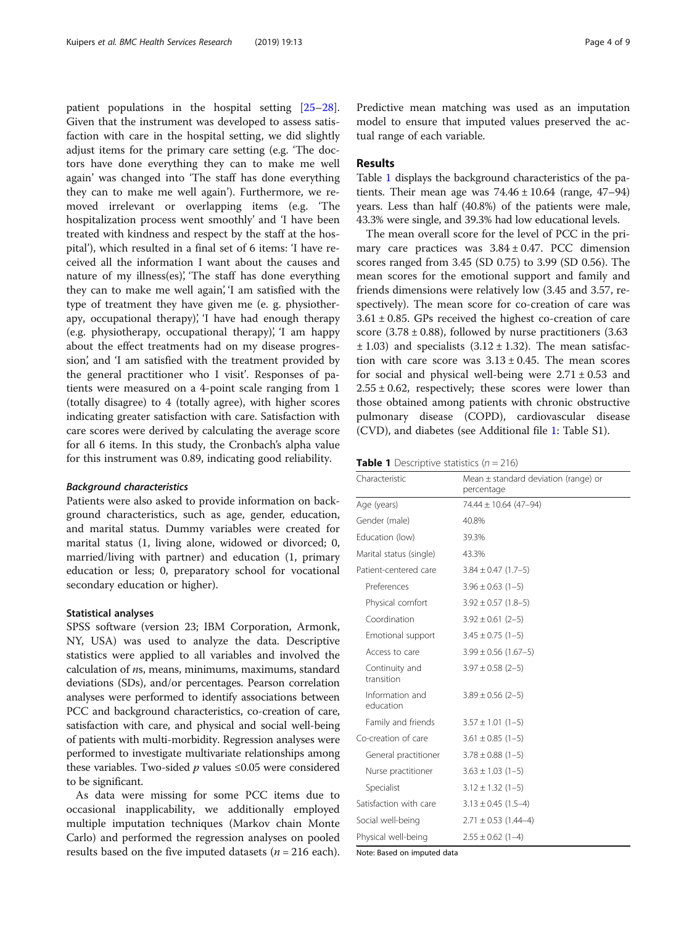patient populations in the hospital setting [[25](#page-8-0)–[28](#page-8-0)]. Given that the instrument was developed to assess satisfaction with care in the hospital setting, we did slightly adjust items for the primary care setting (e.g. 'The doctors have done everything they can to make me well again' was changed into 'The staff has done everything they can to make me well again'). Furthermore, we removed irrelevant or overlapping items (e.g. 'The hospitalization process went smoothly' and 'I have been treated with kindness and respect by the staff at the hospital'), which resulted in a final set of 6 items: 'I have received all the information I want about the causes and nature of my illness(es)', 'The staff has done everything they can to make me well again', 'I am satisfied with the type of treatment they have given me (e. g. physiotherapy, occupational therapy), 'I have had enough therapy (e.g. physiotherapy, occupational therapy)', 'I am happy about the effect treatments had on my disease progression', and 'I am satisfied with the treatment provided by the general practitioner who I visit'. Responses of patients were measured on a 4-point scale ranging from 1 (totally disagree) to 4 (totally agree), with higher scores indicating greater satisfaction with care. Satisfaction with care scores were derived by calculating the average score for all 6 items. In this study, the Cronbach's alpha value for this instrument was 0.89, indicating good reliability.

### Background characteristics

Patients were also asked to provide information on background characteristics, such as age, gender, education, and marital status. Dummy variables were created for marital status (1, living alone, widowed or divorced; 0, married/living with partner) and education (1, primary education or less; 0, preparatory school for vocational secondary education or higher).

### Statistical analyses

SPSS software (version 23; IBM Corporation, Armonk, NY, USA) was used to analyze the data. Descriptive statistics were applied to all variables and involved the calculation of ns, means, minimums, maximums, standard deviations (SDs), and/or percentages. Pearson correlation analyses were performed to identify associations between PCC and background characteristics, co-creation of care, satisfaction with care, and physical and social well-being of patients with multi-morbidity. Regression analyses were performed to investigate multivariate relationships among these variables. Two-sided  $p$  values  $\leq 0.05$  were considered to be significant.

As data were missing for some PCC items due to occasional inapplicability, we additionally employed multiple imputation techniques (Markov chain Monte Carlo) and performed the regression analyses on pooled results based on the five imputed datasets ( $n = 216$  each).

Predictive mean matching was used as an imputation model to ensure that imputed values preserved the actual range of each variable.

# Results

Table 1 displays the background characteristics of the patients. Their mean age was  $74.46 \pm 10.64$  (range,  $47-94$ ) years. Less than half (40.8%) of the patients were male, 43.3% were single, and 39.3% had low educational levels.

The mean overall score for the level of PCC in the primary care practices was  $3.84 \pm 0.47$ . PCC dimension scores ranged from 3.45 (SD 0.75) to 3.99 (SD 0.56). The mean scores for the emotional support and family and friends dimensions were relatively low (3.45 and 3.57, respectively). The mean score for co-creation of care was  $3.61 \pm 0.85$ . GPs received the highest co-creation of care score  $(3.78 \pm 0.88)$ , followed by nurse practitioners  $(3.63)$  $\pm$  1.03) and specialists (3.12  $\pm$  1.32). The mean satisfaction with care score was  $3.13 \pm 0.45$ . The mean scores for social and physical well-being were  $2.71 \pm 0.53$  and  $2.55 \pm 0.62$ , respectively; these scores were lower than those obtained among patients with chronic obstructive pulmonary disease (COPD), cardiovascular disease (CVD), and diabetes (see Additional file [1:](#page-7-0) Table S1).

| <b>Table 1</b> Descriptive statistics $(n = 216)$ |  |
|---------------------------------------------------|--|
|                                                   |  |

| Characteristic               | Mean $\pm$ standard deviation (range) or<br>percentage |  |  |  |
|------------------------------|--------------------------------------------------------|--|--|--|
| Age (years)                  | 74.44 ± 10.64 (47-94)                                  |  |  |  |
| Gender (male)                | 40.8%                                                  |  |  |  |
| Education (low)              | 39.3%                                                  |  |  |  |
| Marital status (single)      | 43.3%                                                  |  |  |  |
| Patient-centered care        | $3.84 \pm 0.47$ (1.7-5)                                |  |  |  |
| Preferences                  | $3.96 \pm 0.63$ (1-5)                                  |  |  |  |
| Physical comfort             | $3.92 \pm 0.57$ (1.8-5)                                |  |  |  |
| Coordination                 | $3.92 \pm 0.61$ (2-5)                                  |  |  |  |
| Emotional support            | $3.45 \pm 0.75$ (1-5)                                  |  |  |  |
| Access to care               | $3.99 \pm 0.56$ (1.67-5)                               |  |  |  |
| Continuity and<br>transition | $3.97 \pm 0.58$ (2-5)                                  |  |  |  |
| Information and<br>education | $3.89 \pm 0.56$ (2-5)                                  |  |  |  |
| Family and friends           | $3.57 \pm 1.01$ (1-5)                                  |  |  |  |
| Co-creation of care          | $3.61 \pm 0.85$ (1-5)                                  |  |  |  |
| General practitioner         | $3.78 \pm 0.88$ (1-5)                                  |  |  |  |
| Nurse practitioner           | $3.63 \pm 1.03$ (1-5)                                  |  |  |  |
| Specialist                   | $3.12 \pm 1.32$ (1-5)                                  |  |  |  |
| Satisfaction with care       | $3.13 \pm 0.45$ (1.5-4)                                |  |  |  |
| Social well-being            | $2.71 \pm 0.53$ (1.44-4)                               |  |  |  |
| Physical well-being          | $2.55 \pm 0.62$ (1-4)                                  |  |  |  |

Note: Based on imputed data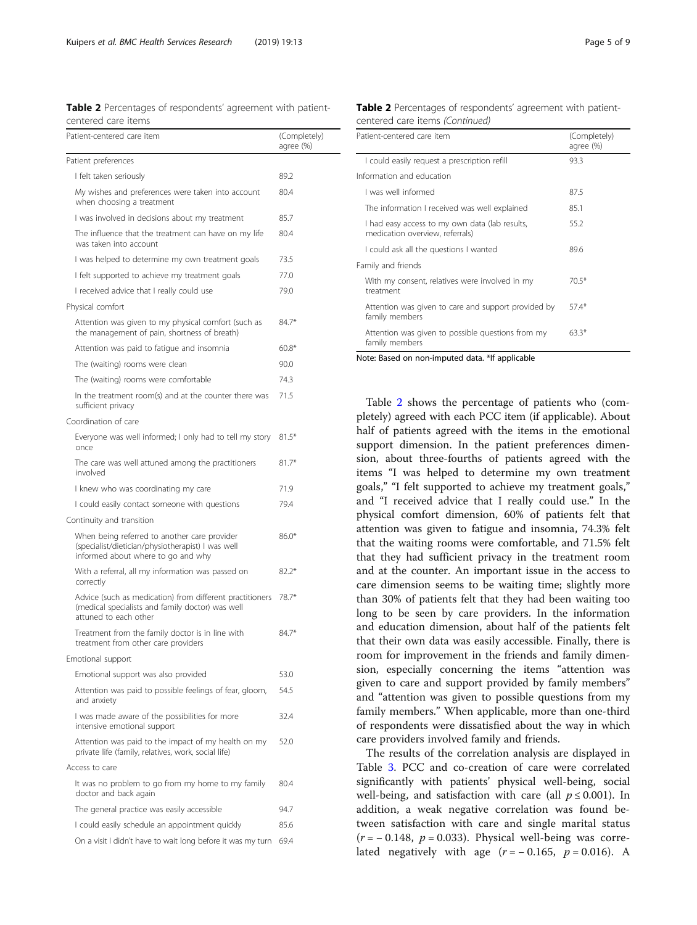Table 2 Percentages of respondents' agreement with patientcentered care items

| Patient-centered care item                                                                                                              | (Completely)<br>agree (%) |
|-----------------------------------------------------------------------------------------------------------------------------------------|---------------------------|
| Patient preferences                                                                                                                     |                           |
| I felt taken seriously                                                                                                                  | 89.2                      |
| My wishes and preferences were taken into account<br>when choosing a treatment                                                          | 80.4                      |
| I was involved in decisions about my treatment                                                                                          | 85.7                      |
| The influence that the treatment can have on my life<br>was taken into account                                                          | 80.4                      |
| I was helped to determine my own treatment goals                                                                                        | 73.5                      |
| I felt supported to achieve my treatment goals                                                                                          | 77.0                      |
| I received advice that I really could use                                                                                               | 79.0                      |
| Physical comfort                                                                                                                        |                           |
| Attention was given to my physical comfort (such as<br>the management of pain, shortness of breath)                                     | $84.7*$                   |
| Attention was paid to fatigue and insomnia                                                                                              | $60.8*$                   |
| The (waiting) rooms were clean                                                                                                          | 90.0                      |
| The (waiting) rooms were comfortable                                                                                                    | 74.3                      |
| In the treatment room(s) and at the counter there was<br>sufficient privacy                                                             | 71.5                      |
| Coordination of care                                                                                                                    |                           |
| Everyone was well informed; I only had to tell my story<br>once                                                                         | $81.5*$                   |
| The care was well attuned among the practitioners<br>involved                                                                           | $81.7*$                   |
| I knew who was coordinating my care                                                                                                     | 71.9                      |
| I could easily contact someone with questions                                                                                           | 79.4                      |
| Continuity and transition                                                                                                               |                           |
| When being referred to another care provider<br>(specialist/dietician/physiotherapist) I was well<br>informed about where to go and why | $86.0*$                   |
| With a referral, all my information was passed on<br>correctly                                                                          | $82.2*$                   |
| Advice (such as medication) from different practitioners<br>(medical specialists and family doctor) was well<br>attuned to each other   | 78.7*                     |
| Treatment from the family doctor is in line with<br>treatment from other care providers                                                 | 847*                      |
| Emotional support                                                                                                                       |                           |
| Emotional support was also provided                                                                                                     | 53.0                      |
| Attention was paid to possible feelings of fear, gloom,<br>and anxiety                                                                  | 54.5                      |
| I was made aware of the possibilities for more<br>intensive emotional support                                                           | 32.4                      |
| Attention was paid to the impact of my health on my<br>private life (family, relatives, work, social life)                              | 52.0                      |
| Access to care                                                                                                                          |                           |
| It was no problem to go from my home to my family<br>doctor and back again                                                              | 80.4                      |
| The general practice was easily accessible                                                                                              | 94.7                      |
| I could easily schedule an appointment quickly                                                                                          | 85.6                      |
| On a visit I didn't have to wait long before it was my turn                                                                             | 69.4                      |

| <b>Table 2</b> Percentages of respondents' agreement with patient- |  |  |
|--------------------------------------------------------------------|--|--|
| centered care items (Continued)                                    |  |  |

| Patient-centered care item                                                        | (Completely)<br>agree (%) |
|-----------------------------------------------------------------------------------|---------------------------|
| I could easily request a prescription refill                                      | 93.3                      |
| Information and education                                                         |                           |
| I was well informed                                                               | 87.5                      |
| The information I received was well explained                                     | 85.1                      |
| I had easy access to my own data (lab results,<br>medication overview, referrals) | 55.2                      |
| I could ask all the questions I wanted                                            | 89.6                      |
| Family and friends                                                                |                           |
| With my consent, relatives were involved in my<br>treatment                       | $70.5*$                   |
| Attention was given to care and support provided by<br>family members             | $57.4*$                   |
| Attention was given to possible questions from my<br>family members               | $63.3*$                   |

Note: Based on non-imputed data. \*If applicable

Table 2 shows the percentage of patients who (completely) agreed with each PCC item (if applicable). About half of patients agreed with the items in the emotional support dimension. In the patient preferences dimension, about three-fourths of patients agreed with the items "I was helped to determine my own treatment goals," "I felt supported to achieve my treatment goals," and "I received advice that I really could use." In the physical comfort dimension, 60% of patients felt that attention was given to fatigue and insomnia, 74.3% felt that the waiting rooms were comfortable, and 71.5% felt that they had sufficient privacy in the treatment room and at the counter. An important issue in the access to care dimension seems to be waiting time; slightly more than 30% of patients felt that they had been waiting too long to be seen by care providers. In the information and education dimension, about half of the patients felt that their own data was easily accessible. Finally, there is room for improvement in the friends and family dimension, especially concerning the items "attention was given to care and support provided by family members" and "attention was given to possible questions from my family members." When applicable, more than one-third of respondents were dissatisfied about the way in which care providers involved family and friends.

The results of the correlation analysis are displayed in Table [3.](#page-5-0) PCC and co-creation of care were correlated significantly with patients' physical well-being, social well-being, and satisfaction with care (all  $p \le 0.001$ ). In addition, a weak negative correlation was found between satisfaction with care and single marital status  $(r = -0.148, p = 0.033)$ . Physical well-being was correlated negatively with age  $(r = -0.165, p = 0.016)$ . A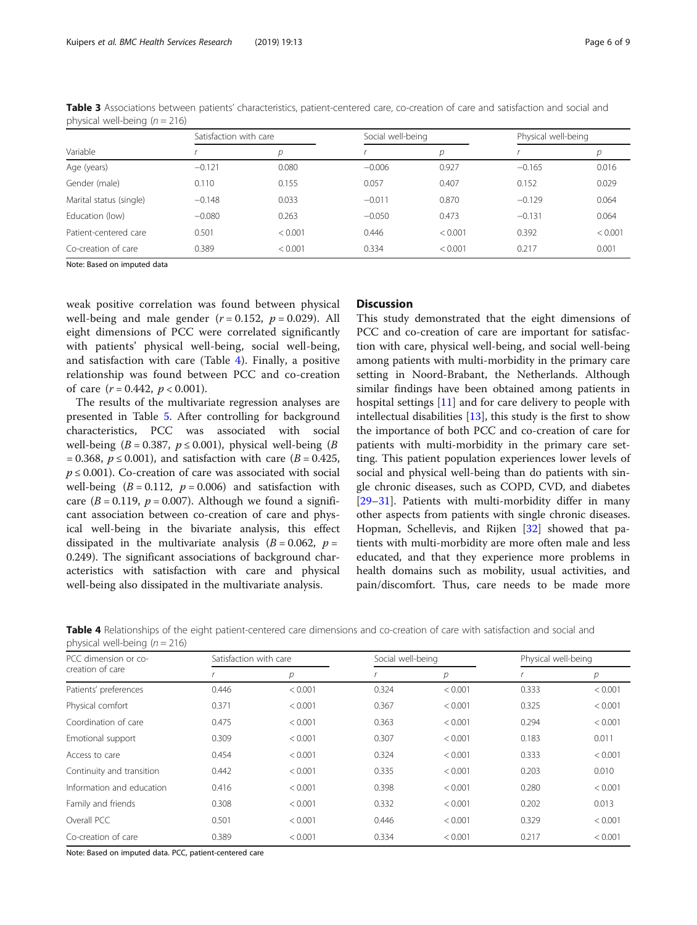| Variable                |          | Satisfaction with care |          | Social well-being |          | Physical well-being |  |
|-------------------------|----------|------------------------|----------|-------------------|----------|---------------------|--|
|                         |          | р                      |          | р                 |          | р                   |  |
| Age (years)             | $-0.121$ | 0.080                  | $-0.006$ | 0.927             | $-0.165$ | 0.016               |  |
| Gender (male)           | 0.110    | 0.155                  | 0.057    | 0.407             | 0.152    | 0.029               |  |
| Marital status (single) | $-0.148$ | 0.033                  | $-0.011$ | 0.870             | $-0.129$ | 0.064               |  |
| Education (low)         | $-0.080$ | 0.263                  | $-0.050$ | 0.473             | $-0.131$ | 0.064               |  |
| Patient-centered care   | 0.501    | < 0.001                | 0.446    | < 0.001           | 0.392    | < 0.001             |  |
| Co-creation of care     | 0.389    | < 0.001                | 0.334    | < 0.001           | 0.217    | 0.001               |  |

<span id="page-5-0"></span>Table 3 Associations between patients' characteristics, patient-centered care, co-creation of care and satisfaction and social and physical well-being  $(n = 216)$ 

Note: Based on imputed data

weak positive correlation was found between physical well-being and male gender  $(r = 0.152, p = 0.029)$ . All eight dimensions of PCC were correlated significantly with patients' physical well-being, social well-being, and satisfaction with care (Table 4). Finally, a positive relationship was found between PCC and co-creation of care  $(r = 0.442, p < 0.001)$ .

The results of the multivariate regression analyses are presented in Table [5.](#page-6-0) After controlling for background characteristics, PCC was associated with social well-being ( $B = 0.387$ ,  $p \le 0.001$ ), physical well-being ( $B$ = 0.368,  $p \le 0.001$ ), and satisfaction with care ( $B = 0.425$ ,  $p \leq 0.001$ ). Co-creation of care was associated with social well-being  $(B = 0.112, p = 0.006)$  and satisfaction with care ( $B = 0.119$ ,  $p = 0.007$ ). Although we found a significant association between co-creation of care and physical well-being in the bivariate analysis, this effect dissipated in the multivariate analysis  $(B = 0.062, p = 1)$ 0.249). The significant associations of background characteristics with satisfaction with care and physical well-being also dissipated in the multivariate analysis.

# **Discussion**

This study demonstrated that the eight dimensions of PCC and co-creation of care are important for satisfaction with care, physical well-being, and social well-being among patients with multi-morbidity in the primary care setting in Noord-Brabant, the Netherlands. Although similar findings have been obtained among patients in hospital settings [[11\]](#page-7-0) and for care delivery to people with intellectual disabilities [\[13](#page-7-0)], this study is the first to show the importance of both PCC and co-creation of care for patients with multi-morbidity in the primary care setting. This patient population experiences lower levels of social and physical well-being than do patients with single chronic diseases, such as COPD, CVD, and diabetes [[29](#page-8-0)–[31](#page-8-0)]. Patients with multi-morbidity differ in many other aspects from patients with single chronic diseases. Hopman, Schellevis, and Rijken [[32\]](#page-8-0) showed that patients with multi-morbidity are more often male and less educated, and that they experience more problems in health domains such as mobility, usual activities, and pain/discomfort. Thus, care needs to be made more

Table 4 Relationships of the eight patient-centered care dimensions and co-creation of care with satisfaction and social and physical well-being  $(n = 216)$ 

| PCC dimension or co-      | Satisfaction with care |         | Social well-being |         | Physical well-being |                |
|---------------------------|------------------------|---------|-------------------|---------|---------------------|----------------|
| creation of care          |                        | р       |                   | р       |                     | $\overline{p}$ |
| Patients' preferences     | 0.446                  | < 0.001 | 0.324             | < 0.001 | 0.333               | < 0.001        |
| Physical comfort          | 0.371                  | < 0.001 | 0.367             | < 0.001 | 0.325               | < 0.001        |
| Coordination of care      | 0.475                  | < 0.001 | 0.363             | < 0.001 | 0.294               | < 0.001        |
| Emotional support         | 0.309                  | < 0.001 | 0.307             | < 0.001 | 0.183               | 0.011          |
| Access to care            | 0.454                  | < 0.001 | 0.324             | < 0.001 | 0.333               | < 0.001        |
| Continuity and transition | 0.442                  | < 0.001 | 0.335             | < 0.001 | 0.203               | 0.010          |
| Information and education | 0.416                  | < 0.001 | 0.398             | < 0.001 | 0.280               | < 0.001        |
| Family and friends        | 0.308                  | < 0.001 | 0.332             | < 0.001 | 0.202               | 0.013          |
| Overall PCC               | 0.501                  | < 0.001 | 0.446             | < 0.001 | 0.329               | < 0.001        |
| Co-creation of care       | 0.389                  | < 0.001 | 0.334             | < 0.001 | 0.217               | < 0.001        |

Note: Based on imputed data. PCC, patient-centered care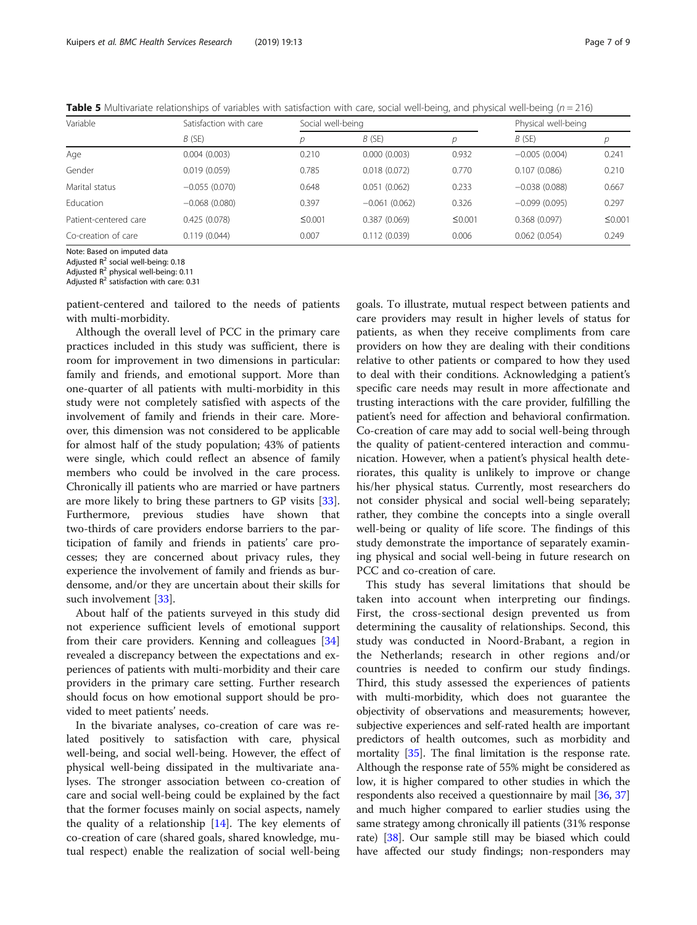<span id="page-6-0"></span>**Table 5** Multivariate relationships of variables with satisfaction with care, social well-being, and physical well-being ( $n = 216$ )

| Variable              | Satisfaction with care | Social well-being |                 |        | Physical well-being |        |
|-----------------------|------------------------|-------------------|-----------------|--------|---------------------|--------|
|                       | B(SE)                  |                   | B(SE)           | D      | B(SE)               | р      |
| Age                   | 0.004(0.003)           | 0.210             | 0.000(0.003)    | 0.932  | $-0.005(0.004)$     | 0.241  |
| Gender                | 0.019(0.059)           | 0.785             | 0.018(0.072)    | 0.770  | 0.107(0.086)        | 0.210  |
| Marital status        | $-0.055(0.070)$        | 0.648             | 0.051(0.062)    | 0.233  | $-0.038(0.088)$     | 0.667  |
| Education             | $-0.068(0.080)$        | 0.397             | $-0.061(0.062)$ | 0.326  | $-0.099(0.095)$     | 0.297  |
| Patient-centered care | 0.425(0.078)           | $\leq 0.001$      | 0.387(0.069)    | ≤0.001 | 0.368(0.097)        | ≤0.001 |
| Co-creation of care   | 0.119(0.044)           | 0.007             | 0.112(0.039)    | 0.006  | 0.062(0.054)        | 0.249  |

Note: Based on imputed data

Adjusted  $R^2$  social well-being: 0.18

Adjusted  $R^2$  physical well-being: 0.11

Adjusted  $R^2$  satisfaction with care: 0.31

patient-centered and tailored to the needs of patients with multi-morbidity.

Although the overall level of PCC in the primary care practices included in this study was sufficient, there is room for improvement in two dimensions in particular: family and friends, and emotional support. More than one-quarter of all patients with multi-morbidity in this study were not completely satisfied with aspects of the involvement of family and friends in their care. Moreover, this dimension was not considered to be applicable for almost half of the study population; 43% of patients were single, which could reflect an absence of family members who could be involved in the care process. Chronically ill patients who are married or have partners are more likely to bring these partners to GP visits [\[33](#page-8-0)]. Furthermore, previous studies have shown that two-thirds of care providers endorse barriers to the participation of family and friends in patients' care processes; they are concerned about privacy rules, they experience the involvement of family and friends as burdensome, and/or they are uncertain about their skills for such involvement [[33\]](#page-8-0).

About half of the patients surveyed in this study did not experience sufficient levels of emotional support from their care providers. Kenning and colleagues [[34](#page-8-0)] revealed a discrepancy between the expectations and experiences of patients with multi-morbidity and their care providers in the primary care setting. Further research should focus on how emotional support should be provided to meet patients' needs.

In the bivariate analyses, co-creation of care was related positively to satisfaction with care, physical well-being, and social well-being. However, the effect of physical well-being dissipated in the multivariate analyses. The stronger association between co-creation of care and social well-being could be explained by the fact that the former focuses mainly on social aspects, namely the quality of a relationship  $[14]$  $[14]$ . The key elements of co-creation of care (shared goals, shared knowledge, mutual respect) enable the realization of social well-being

goals. To illustrate, mutual respect between patients and care providers may result in higher levels of status for patients, as when they receive compliments from care providers on how they are dealing with their conditions relative to other patients or compared to how they used to deal with their conditions. Acknowledging a patient's specific care needs may result in more affectionate and trusting interactions with the care provider, fulfilling the patient's need for affection and behavioral confirmation. Co-creation of care may add to social well-being through the quality of patient-centered interaction and communication. However, when a patient's physical health deteriorates, this quality is unlikely to improve or change his/her physical status. Currently, most researchers do not consider physical and social well-being separately; rather, they combine the concepts into a single overall well-being or quality of life score. The findings of this study demonstrate the importance of separately examining physical and social well-being in future research on PCC and co-creation of care.

This study has several limitations that should be taken into account when interpreting our findings. First, the cross-sectional design prevented us from determining the causality of relationships. Second, this study was conducted in Noord-Brabant, a region in the Netherlands; research in other regions and/or countries is needed to confirm our study findings. Third, this study assessed the experiences of patients with multi-morbidity, which does not guarantee the objectivity of observations and measurements; however, subjective experiences and self-rated health are important predictors of health outcomes, such as morbidity and mortality [[35](#page-8-0)]. The final limitation is the response rate. Although the response rate of 55% might be considered as low, it is higher compared to other studies in which the respondents also received a questionnaire by mail [\[36,](#page-8-0) [37](#page-8-0)] and much higher compared to earlier studies using the same strategy among chronically ill patients (31% response rate) [[38](#page-8-0)]. Our sample still may be biased which could have affected our study findings; non-responders may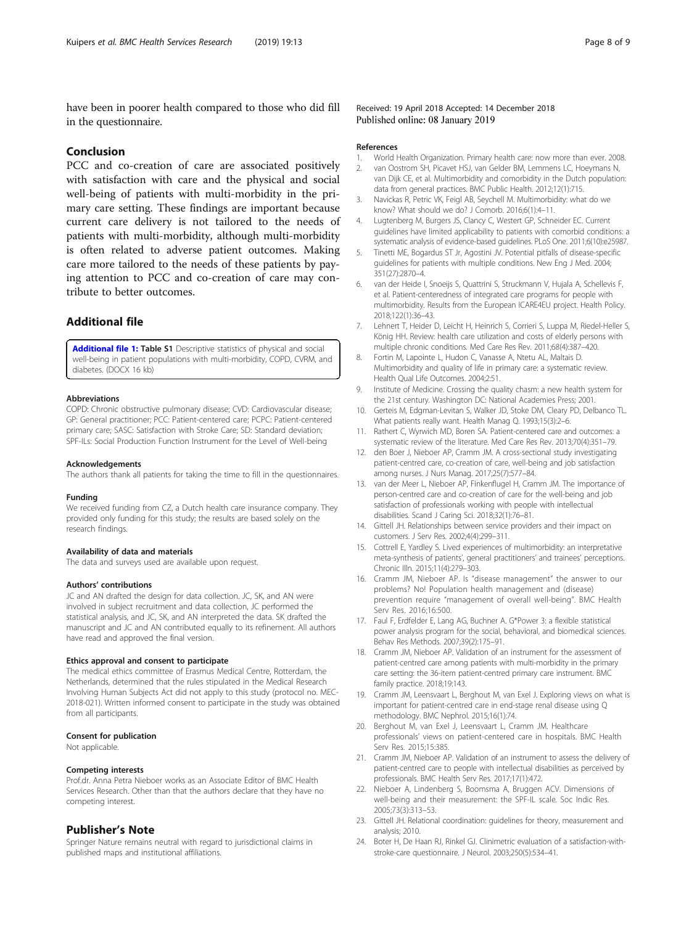<span id="page-7-0"></span>have been in poorer health compared to those who did fill in the questionnaire.

# Conclusion

PCC and co-creation of care are associated positively with satisfaction with care and the physical and social well-being of patients with multi-morbidity in the primary care setting. These findings are important because current care delivery is not tailored to the needs of patients with multi-morbidity, although multi-morbidity is often related to adverse patient outcomes. Making care more tailored to the needs of these patients by paying attention to PCC and co-creation of care may contribute to better outcomes.

# Additional file

[Additional file 1:](https://doi.org/10.1186/s12913-018-3818-y) Table S1 Descriptive statistics of physical and social well-being in patient populations with multi-morbidity, COPD, CVRM, and diabetes. (DOCX 16 kb)

### Abbreviations

COPD: Chronic obstructive pulmonary disease; CVD: Cardiovascular disease; GP: General practitioner; PCC: Patient-centered care; PCPC: Patient-centered primary care; SASC: Satisfaction with Stroke Care; SD: Standard deviation; SPF-ILs: Social Production Function Instrument for the Level of Well-being

#### Acknowledgements

The authors thank all patients for taking the time to fill in the questionnaires.

### Funding

We received funding from CZ, a Dutch health care insurance company. They provided only funding for this study; the results are based solely on the research findings.

### Availability of data and materials

The data and surveys used are available upon request.

### Authors' contributions

JC and AN drafted the design for data collection. JC, SK, and AN were involved in subject recruitment and data collection, JC performed the statistical analysis, and JC, SK, and AN interpreted the data. SK drafted the manuscript and JC and AN contributed equally to its refinement. All authors have read and approved the final version.

### Ethics approval and consent to participate

The medical ethics committee of Erasmus Medical Centre, Rotterdam, the Netherlands, determined that the rules stipulated in the Medical Research Involving Human Subjects Act did not apply to this study (protocol no. MEC-2018-021). Written informed consent to participate in the study was obtained from all participants.

#### Consent for publication

Not applicable.

### Competing interests

Prof.dr. Anna Petra Nieboer works as an Associate Editor of BMC Health Services Research. Other than that the authors declare that they have no competing interest.

### Publisher's Note

Springer Nature remains neutral with regard to jurisdictional claims in published maps and institutional affiliations.

Received: 19 April 2018 Accepted: 14 December 2018 Published online: 08 January 2019

#### References

- 1. World Health Organization. Primary health care: now more than ever. 2008.
- 2. van Oostrom SH, Picavet HSJ, van Gelder BM, Lemmens LC, Hoeymans N, van Dijk CE, et al. Multimorbidity and comorbidity in the Dutch population: data from general practices. BMC Public Health. 2012;12(1):715.
- 3. Navickas R, Petric VK, Feigl AB, Seychell M. Multimorbidity: what do we know? What should we do? J Comorb. 2016;6(1):4–11.
- 4. Lugtenberg M, Burgers JS, Clancy C, Westert GP, Schneider EC. Current guidelines have limited applicability to patients with comorbid conditions: a systematic analysis of evidence-based guidelines. PLoS One. 2011;6(10):e25987.
- 5. Tinetti ME, Bogardus ST Jr, Agostini JV. Potential pitfalls of disease-specific guidelines for patients with multiple conditions. New Eng J Med. 2004; 351(27):2870–4.
- 6. van der Heide I, Snoeijs S, Quattrini S, Struckmann V, Hujala A, Schellevis F, et al. Patient-centeredness of integrated care programs for people with multimorbidity. Results from the European ICARE4EU project. Health Policy. 2018;122(1):36–43.
- 7. Lehnert T, Heider D, Leicht H, Heinrich S, Corrieri S, Luppa M, Riedel-Heller S, König HH. Review: health care utilization and costs of elderly persons with multiple chronic conditions. Med Care Res Rev. 2011;68(4):387–420.
- 8. Fortin M, Lapointe L, Hudon C, Vanasse A, Ntetu AL, Maltais D. Multimorbidity and quality of life in primary care: a systematic review. Health Qual Life Outcomes. 2004;2:51.
- 9. Institute of Medicine. Crossing the quality chasm: a new health system for the 21st century. Washington DC: National Academies Press; 2001.
- 10. Gerteis M, Edgman-Levitan S, Walker JD, Stoke DM, Cleary PD, Delbanco TL. What patients really want. Health Manag Q. 1993;15(3):2–6.
- 11. Rathert C, Wyrwich MD, Boren SA. Patient-centered care and outcomes: a systematic review of the literature. Med Care Res Rev. 2013;70(4):351–79.
- 12. den Boer J, Nieboer AP, Cramm JM. A cross-sectional study investigating patient-centred care, co-creation of care, well-being and job satisfaction among nurses. J Nurs Manag. 2017;25(7):577–84.
- 13. van der Meer L, Nieboer AP, Finkenflugel H, Cramm JM. The importance of person-centred care and co-creation of care for the well-being and job satisfaction of professionals working with people with intellectual disabilities. Scand J Caring Sci. 2018;32(1):76–81.
- 14. Gittell JH. Relationships between service providers and their impact on customers. J Serv Res. 2002;4(4):299–311.
- 15. Cottrell E, Yardley S. Lived experiences of multimorbidity: an interpretative meta-synthesis of patients', general practitioners' and trainees' perceptions. Chronic Illn. 2015;11(4):279–303.
- 16. Cramm JM, Nieboer AP. Is "disease management" the answer to our problems? No! Population health management and (disease) prevention require "management of overall well-being". BMC Health Serv Res. 2016;16:500.
- 17. Faul F, Erdfelder E, Lang AG, Buchner A. G\*Power 3: a flexible statistical power analysis program for the social, behavioral, and biomedical sciences. Behav Res Methods. 2007;39(2):175–91.
- 18. Cramm JM, Nieboer AP. Validation of an instrument for the assessment of patient-centred care among patients with multi-morbidity in the primary care setting: the 36-item patient-centred primary care instrument. BMC family practice. 2018;19:143.
- 19. Cramm JM, Leensvaart L, Berghout M, van Exel J. Exploring views on what is important for patient-centred care in end-stage renal disease using Q methodology. BMC Nephrol. 2015;16(1):74.
- 20. Berghout M, van Exel J, Leensvaart L, Cramm JM. Healthcare professionals' views on patient-centered care in hospitals. BMC Health Serv Res. 2015;15:385.
- 21. Cramm JM, Nieboer AP. Validation of an instrument to assess the delivery of patient-centred care to people with intellectual disabilities as perceived by professionals. BMC Health Serv Res. 2017;17(1):472.
- 22. Nieboer A, Lindenberg S, Boomsma A, Bruggen ACV. Dimensions of well-being and their measurement: the SPF-IL scale. Soc Indic Res. 2005;73(3):313–53.
- 23. Gittell JH. Relational coordination: guidelines for theory, measurement and analysis; 2010.
- 24. Boter H, De Haan RJ, Rinkel GJ. Clinimetric evaluation of a satisfaction-withstroke-care questionnaire. J Neurol. 2003;250(5):534–41.